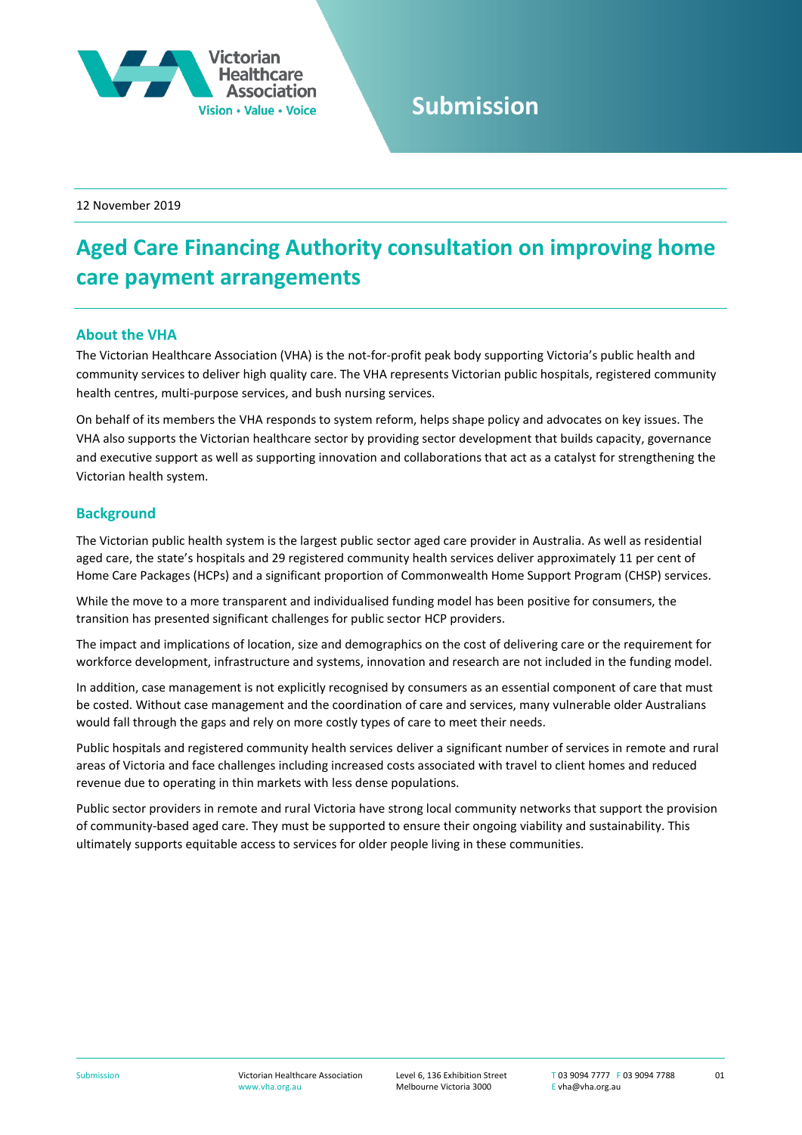

## **Submission**

12 November 2019

## **Aged Care Financing Authority consultation on improving home care payment arrangements**

## **About the VHA**

The Victorian Healthcare Association (VHA) is the not-for-profit peak body supporting Victoria's public health and community services to deliver high quality care. The VHA represents Victorian public hospitals, registered community health centres, multi-purpose services, and bush nursing services.

On behalf of its members the VHA responds to system reform, helps shape policy and advocates on key issues. The VHA also supports the Victorian healthcare sector by providing sector development that builds capacity, governance and executive support as well as supporting innovation and collaborations that act as a catalyst for strengthening the Victorian health system.

## **Background**

The Victorian public health system is the largest public sector aged care provider in Australia. As well as residential aged care, the state's hospitals and 29 registered community health services deliver approximately 11 per cent of Home Care Packages (HCPs) and a significant proportion of Commonwealth Home Support Program (CHSP) services.

While the move to a more transparent and individualised funding model has been positive for consumers, the transition has presented significant challenges for public sector HCP providers.

The impact and implications of location, size and demographics on the cost of delivering care or the requirement for workforce development, infrastructure and systems, innovation and research are not included in the funding model.

In addition, case management is not explicitly recognised by consumers as an essential component of care that must be costed. Without case management and the coordination of care and services, many vulnerable older Australians would fall through the gaps and rely on more costly types of care to meet their needs.

Public hospitals and registered community health services deliver a significant number of services in remote and rural areas of Victoria and face challenges including increased costs associated with travel to client homes and reduced revenue due to operating in thin markets with less dense populations.

Public sector providers in remote and rural Victoria have strong local community networks that support the provision of community-based aged care. They must be supported to ensure their ongoing viability and sustainability. This ultimately supports equitable access to services for older people living in these communities.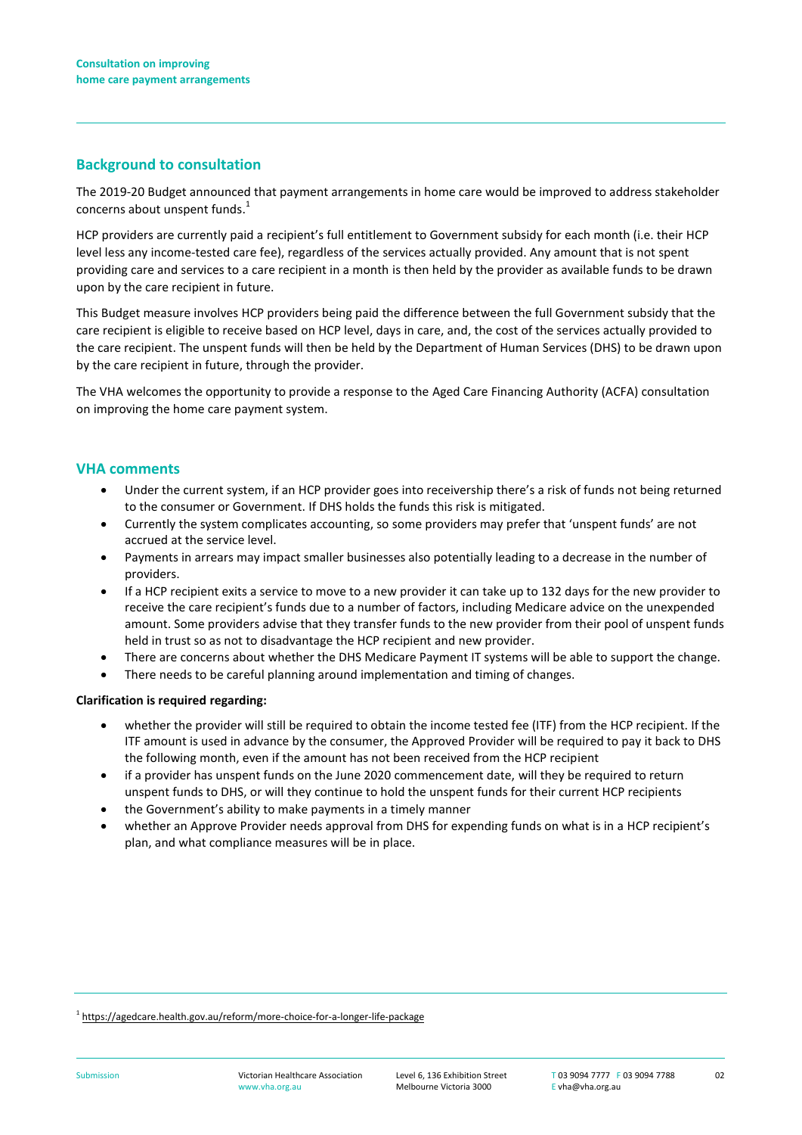## **Background to consultation**

The 2019-20 Budget announced that payment arrangements in home care would be improved to address stakeholder concerns about unspent funds.<sup>1</sup>

HCP providers are currently paid a recipient's full entitlement to Government subsidy for each month (i.e. their HCP level less any income-tested care fee), regardless of the services actually provided. Any amount that is not spent providing care and services to a care recipient in a month is then held by the provider as available funds to be drawn upon by the care recipient in future.

This Budget measure involves HCP providers being paid the difference between the full Government subsidy that the care recipient is eligible to receive based on HCP level, days in care, and, the cost of the services actually provided to the care recipient. The unspent funds will then be held by the Department of Human Services (DHS) to be drawn upon by the care recipient in future, through the provider.

The VHA welcomes the opportunity to provide a response to the Aged Care Financing Authority (ACFA) consultation on improving the home care payment system.

## **VHA comments**

- Under the current system, if an HCP provider goes into receivership there's a risk of funds not being returned to the consumer or Government. If DHS holds the funds this risk is mitigated.
- Currently the system complicates accounting, so some providers may prefer that 'unspent funds' are not accrued at the service level.
- Payments in arrears may impact smaller businesses also potentially leading to a decrease in the number of providers.
- If a HCP recipient exits a service to move to a new provider it can take up to 132 days for the new provider to receive the care recipient's funds due to a number of factors, including Medicare advice on the unexpended amount. Some providers advise that they transfer funds to the new provider from their pool of unspent funds held in trust so as not to disadvantage the HCP recipient and new provider.
- There are concerns about whether the DHS Medicare Payment IT systems will be able to support the change.
- There needs to be careful planning around implementation and timing of changes.

### **Clarification is required regarding:**

- whether the provider will still be required to obtain the income tested fee (ITF) from the HCP recipient. If the ITF amount is used in advance by the consumer, the Approved Provider will be required to pay it back to DHS the following month, even if the amount has not been received from the HCP recipient
- if a provider has unspent funds on the June 2020 commencement date, will they be required to return unspent funds to DHS, or will they continue to hold the unspent funds for their current HCP recipients
- the Government's ability to make payments in a timely manner
- whether an Approve Provider needs approval from DHS for expending funds on what is in a HCP recipient's plan, and what compliance measures will be in place.

<sup>1</sup> <https://agedcare.health.gov.au/reform/more-choice-for-a-longer-life-package>